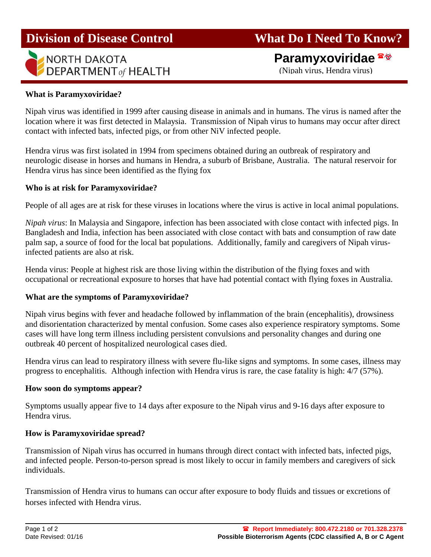# **Division of Disease Control**



# **What Do I Need To Know?**

# **Paramyxoviridae**

(Nipah virus, Hendra virus)

# **What is Paramyxoviridae?**

Nipah virus was identified in 1999 after causing disease in animals and in humans. The virus is named after the location where it was first detected in Malaysia. Transmission of Nipah virus to humans may occur after direct contact with infected bats, infected pigs, or from other NiV infected people.

Hendra virus was first isolated in 1994 from specimens obtained during an outbreak of respiratory and neurologic disease in horses and humans in Hendra, a suburb of Brisbane, Australia. The natural reservoir for Hendra virus has since been identified as the flying fox

# **Who is at risk for Paramyxoviridae?**

People of all ages are at risk for these viruses in locations where the virus is active in local animal populations.

*Nipah virus*: In Malaysia and Singapore, infection has been associated with close contact with infected pigs. In Bangladesh and India, infection has been associated with close contact with bats and consumption of raw date palm sap, a source of food for the local bat populations. Additionally, family and caregivers of Nipah virusinfected patients are also at risk.

Henda virus: People at highest risk are those living within the distribution of the flying foxes and with occupational or recreational exposure to horses that have had potential contact with flying foxes in Australia.

#### **What are the symptoms of Paramyxoviridae?**

Nipah virus begins with fever and headache followed by inflammation of the brain (encephalitis), drowsiness and disorientation characterized by mental confusion. Some cases also experience respiratory symptoms. Some cases will have long term illness including persistent convulsions and personality changes and during one outbreak 40 percent of hospitalized neurological cases died.

Hendra virus can lead to respiratory illness with severe flu-like signs and symptoms. In some cases, illness may progress to encephalitis. Although infection with Hendra virus is rare, the case fatality is high: 4/7 (57%).

# **How soon do symptoms appear?**

Symptoms usually appear five to 14 days after exposure to the Nipah virus and 9-16 days after exposure to Hendra virus.

# **How is Paramyxoviridae spread?**

Transmission of Nipah virus has occurred in humans through direct contact with infected bats, infected pigs, and infected people. Person-to-person spread is most likely to occur in family members and caregivers of sick individuals.

Transmission of Hendra virus to humans can occur after exposure to body fluids and tissues or excretions of horses infected with Hendra virus.